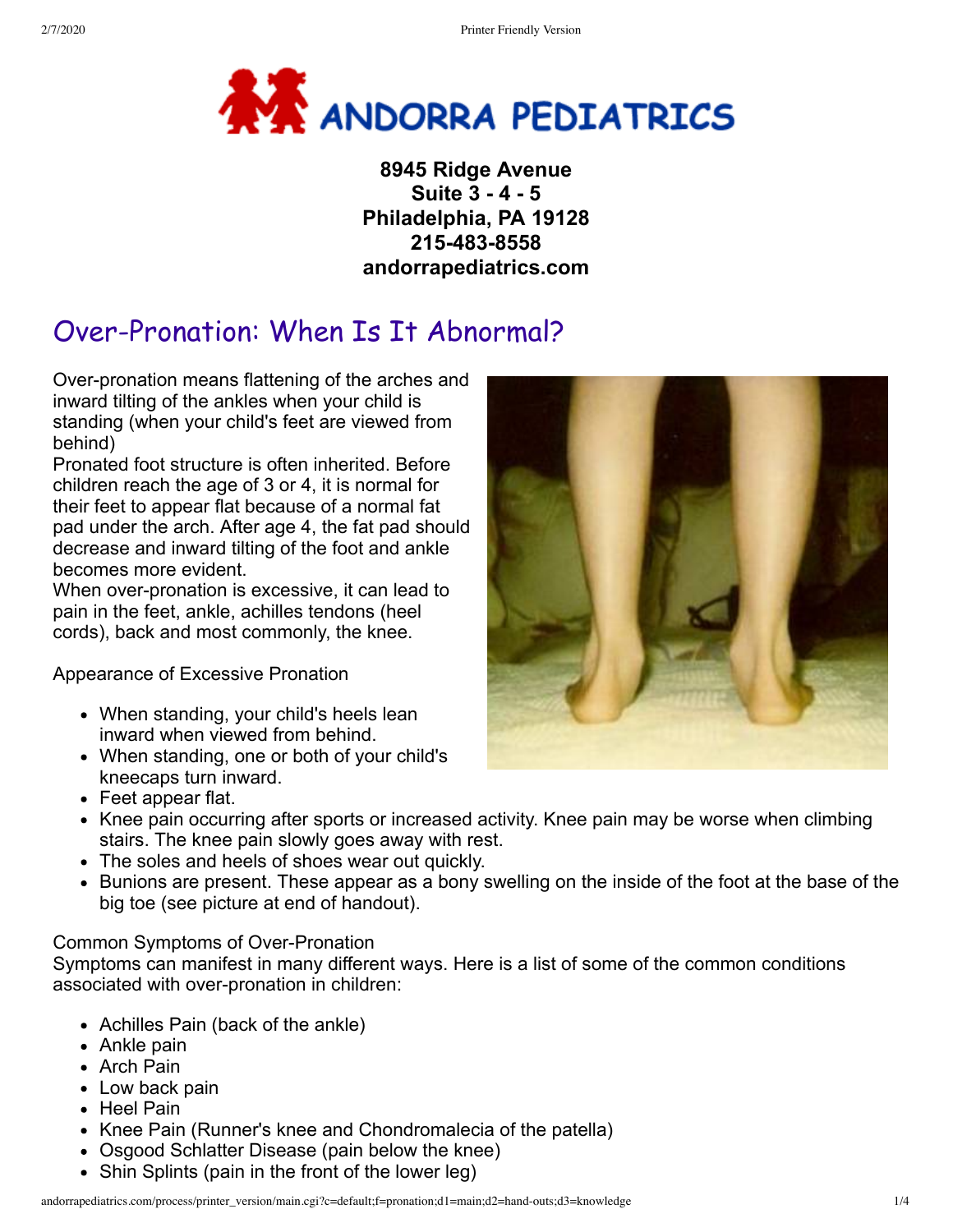

**8945 Ridge Avenue Suite 3 - 4 - 5 Philadelphia, PA 19128 215-483-8558 andorrapediatrics.com**

## Over-Pronation: When Is It Abnormal?

Over-pronation means flattening of the arches and inward tilting of the ankles when your child is standing (when your child's feet are viewed from behind)

Pronated foot structure is often inherited. Before children reach the age of 3 or 4, it is normal for their feet to appear flat because of a normal fat pad under the arch. After age 4, the fat pad should decrease and inward tilting of the foot and ankle becomes more evident.

When over-pronation is excessive, it can lead to pain in the feet, ankle, achilles tendons (heel cords), back and most commonly, the knee.

Appearance of Excessive Pronation

- When standing, your child's heels lean inward when viewed from behind.
- When standing, one or both of your child's kneecaps turn inward.
- Feet appear flat.
- Knee pain occurring after sports or increased activity. Knee pain may be worse when climbing stairs. The knee pain slowly goes away with rest.
- The soles and heels of shoes wear out quickly.
- Bunions are present. These appear as a bony swelling on the inside of the foot at the base of the big toe (see picture at end of handout).

## Common Symptoms of Over-Pronation

Symptoms can manifest in many different ways. Here is a list of some of the common conditions associated with over-pronation in children:

- Achilles Pain (back of the ankle)
- Ankle pain
- Arch Pain
- Low back pain
- Heel Pain
- Knee Pain (Runner's knee and Chondromalecia of the patella)
- Osgood Schlatter Disease (pain below the knee)
- Shin Splints (pain in the front of the lower leg)

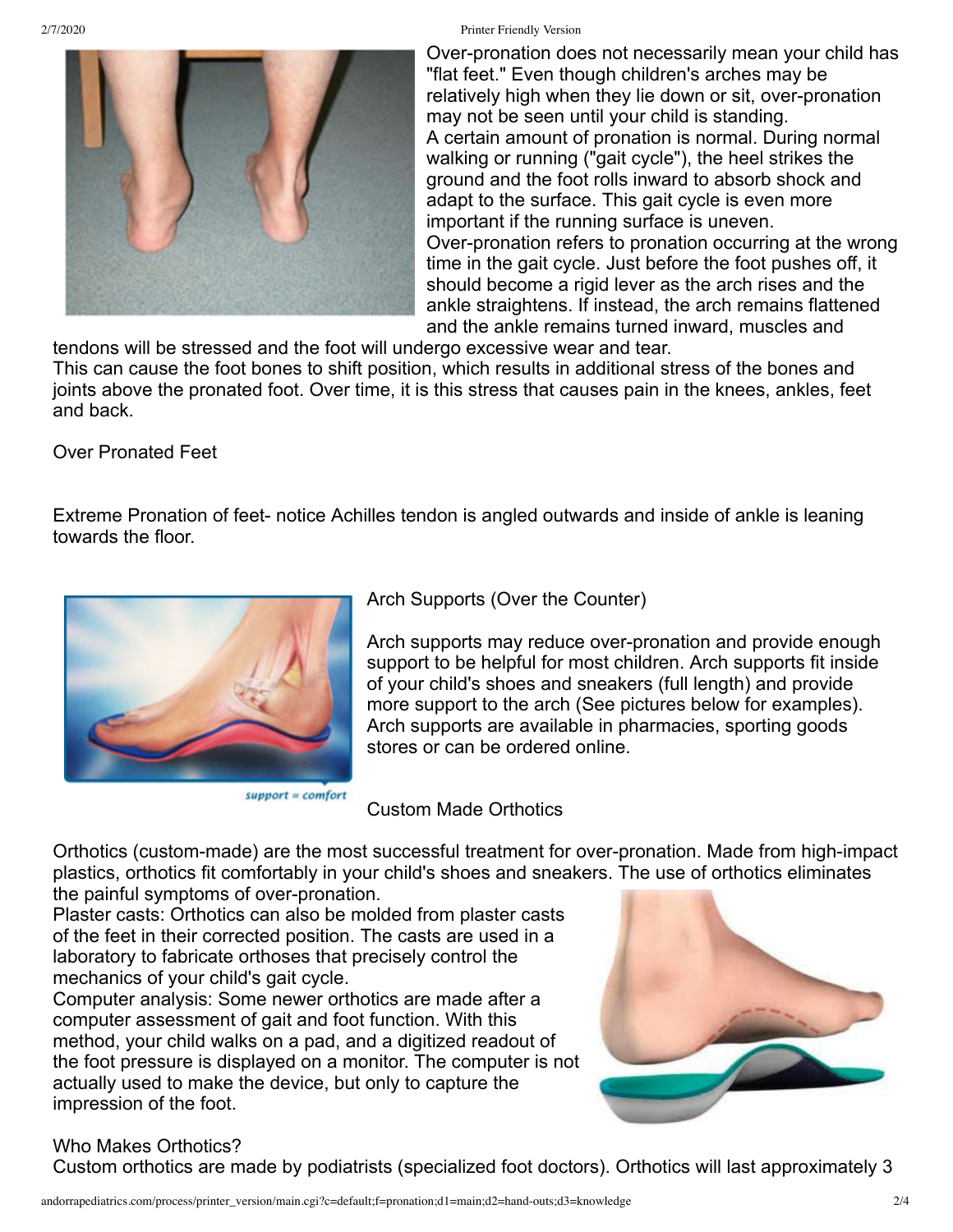## 2/7/2020 Printer Friendly Version



Over-pronation does not necessarily mean your child has "flat feet." Even though children's arches may be relatively high when they lie down or sit, over-pronation may not be seen until your child is standing. A certain amount of pronation is normal. During normal walking or running ("gait cycle"), the heel strikes the ground and the foot rolls inward to absorb shock and adapt to the surface. This gait cycle is even more important if the running surface is uneven. Over-pronation refers to pronation occurring at the wrong time in the gait cycle. Just before the foot pushes off, it should become a rigid lever as the arch rises and the ankle straightens. If instead, the arch remains flattened and the ankle remains turned inward, muscles and

tendons will be stressed and the foot will undergo excessive wear and tear. This can cause the foot bones to shift position, which results in additional stress of the bones and joints above the pronated foot. Over time, it is this stress that causes pain in the knees, ankles, feet and back.

Over Pronated Feet

Extreme Pronation of feet- notice Achilles tendon is angled outwards and inside of ankle is leaning towards the floor.



 $support = comfort$ 

Arch Supports (Over the Counter)

Arch supports may reduce over-pronation and provide enough support to be helpful for most children. Arch supports fit inside of your child's shoes and sneakers (full length) and provide more support to the arch (See pictures below for examples). Arch supports are available in pharmacies, sporting goods stores or can be ordered online.

Custom Made Orthotics

Orthotics (custom-made) are the most successful treatment for over-pronation. Made from high-impact plastics, orthotics fit comfortably in your child's shoes and sneakers. The use of orthotics eliminates the painful symptoms of over-pronation.

Plaster casts: Orthotics can also be molded from plaster casts of the feet in their corrected position. The casts are used in a laboratory to fabricate orthoses that precisely control the mechanics of your child's gait cycle.

Computer analysis: Some newer orthotics are made after a computer assessment of gait and foot function. With this method, your child walks on a pad, and a digitized readout of the foot pressure is displayed on a monitor. The computer is not actually used to make the device, but only to capture the impression of the foot.



## Who Makes Orthotics?

Custom orthotics are made by podiatrists (specialized foot doctors). Orthotics will last approximately 3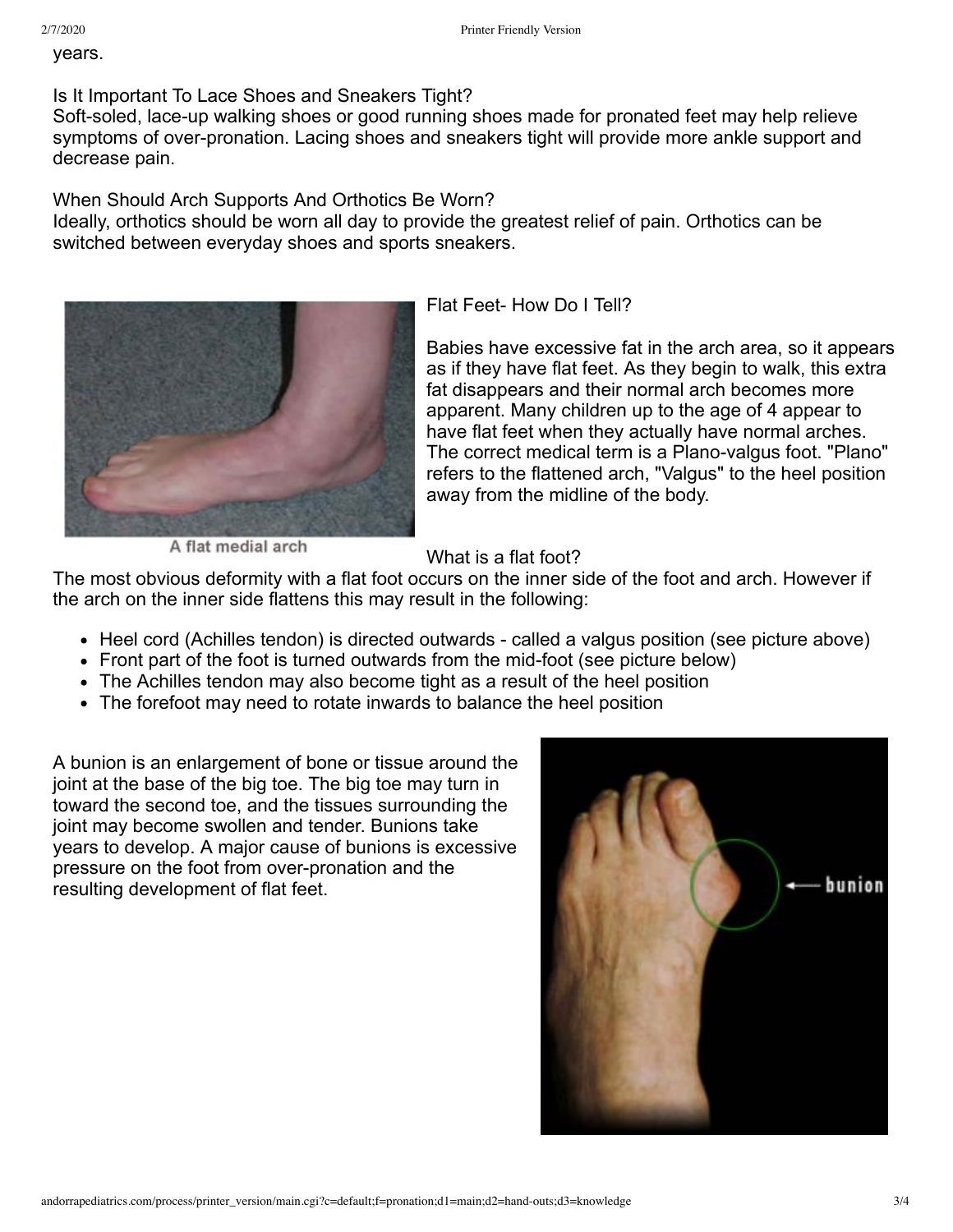years.

Is It Important To Lace Shoes and Sneakers Tight?

Soft-soled, lace-up walking shoes or good running shoes made for pronated feet may help relieve symptoms of over-pronation. Lacing shoes and sneakers tight will provide more ankle support and decrease pain.

When Should Arch Supports And Orthotics Be Worn?

Ideally, orthotics should be worn all day to provide the greatest relief of pain. Orthotics can be switched between everyday shoes and sports sneakers.



Flat Feet- How Do I Tell?

Babies have excessive fat in the arch area, so it appears as if they have flat feet. As they begin to walk, this extra fat disappears and their normal arch becomes more apparent. Many children up to the age of 4 appear to have flat feet when they actually have normal arches. The correct medical term is a Plano-valgus foot. "Plano" refers to the flattened arch, "Valgus" to the heel position away from the midline of the body.

A flat medial arch

What is a flat foot?

The most obvious deformity with a flat foot occurs on the inner side of the foot and arch. However if the arch on the inner side flattens this may result in the following:

- Heel cord (Achilles tendon) is directed outwards called a valgus position (see picture above)
- Front part of the foot is turned outwards from the mid-foot (see picture below)
- The Achilles tendon may also become tight as a result of the heel position
- The forefoot may need to rotate inwards to balance the heel position

A bunion is an enlargement of bone or tissue around the joint at the base of the big toe. The big toe may turn in toward the second toe, and the tissues surrounding the joint may become swollen and tender. Bunions take years to develop. A major cause of bunions is excessive pressure on the foot from over-pronation and the resulting development of flat feet.